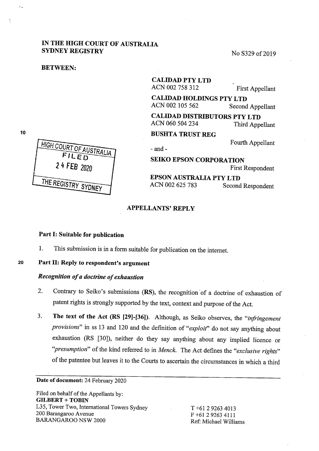# IN **THE HIGH COURT OF AUSTRALIA SYDNEY REGISTRY** No S329 of 2019

#### **BETWEEN:**

**CALIDAD PTY LTD**  ACN 002 <sup>758</sup>312 First Appellant

**CALIDAD HOLDINGS PTY LTD**  ACN 002 <sup>105</sup>562 Second Appellant

**CALIDAD DISTRIBUTORS PTY LTD**  ACN 060 504 234 Third Appellant

**BUSHTA TRUST REG** 

Fourth Appellant

- and-

**SEIKO EPSON CORPORATION**  First Respondent

**EPSON AUSTRALIA PTY LTD**  ACN 002 625 783 Second Respondent

### **APPELLANTS'REPLY**

### **Part** I: **Suitable for publication**

1. This submission is in a form suitable for publication on the internet.

### **<sup>20</sup>P~rt** II: **Reply to respondent's argument**

## *Recognition of a doctrine of exhaustion*

- 2. Contrary to Seiko's submissions (RS), the recognition of a doctrine of exhaustion of patent rights is strongly supported by the text, context and purpose of the Act.
- 3. **The text of the Act (RS [29)-(361).** Although, as Seiko observes, the *"irifringement provisions"* in ss 13 and 120 and the definition of *"exploit"* do not say anything about exhaustion (RS [30]), neither do they say anything about any implied licence or *''presumption"* of the kind referred to in *Menck.* The Act defines the *"exclusive rights"*  of the patentee but leaves it to the Courts to ascertain the circumstances in which a third

#### **Date of document:** 24 February 2020

Filed on behalf of the Appellants by: **GILBERT+ TOBIN**  L35, Tower Two, International Towers Sydney 200 Barangaroo Avenue BARANGAROO NSW 2000

T +61 2 9263 4013 F +61 2 9263 4111 Ref: Michael Williams

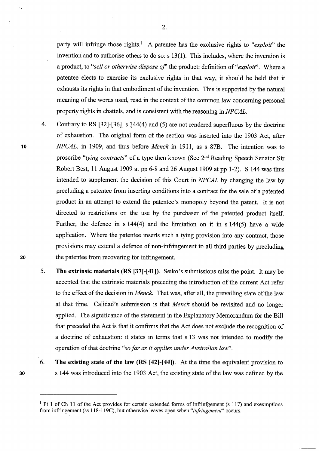party will infringe those rights.<sup>1</sup> A patentee has the exclusive rights to "exploit" the invention and to authorise others to do so: s 13(1). This includes, where the invention is a product, to *"sell or otherwise dispose of'* the product: definition of *"exploit'.* Where a patentee elects to exercise its exclusive rights in that way, it should be held that it exhausts its rights in that embodiment of the invention. This is supported by the natural meaning of the words used, read in the context of the common law concerning personal property rights in chattels, and is consistent with the reasoning in *NPCAL.* 

2.

- 4. Contrary to RS [32]-[36], s 144(4) and (5) are not rendered superfluous by the doctrine of exhaustion. The original form of the section was inserted into the 1903 Act, after **<sup>10</sup>***NPCAL,* in 1909, and thus before *Menck* in 1911, as s 87B. The intention was to proscribe *"tying contracts"* of a type then known (See 2nd Reading Speech Senator Sir Robert Best, 11 August 1909 at pp 6-8 and 26 August 1909 at pp 1-2). S 144 was thus intended to supplement the decision of this Court in *NPCAL* by changing the law by precluding a patentee from inserting conditions into a contract for the sale of a patented product in an attempt to extend the patentee's monopoly beyond the patent. It is not directed to restrictions on the use by the purchaser of the patented product itself. Further, the defence in s 144(4) and the limitation on it in s 144(5) have a wide application. Where the patentee inserts such a tying provision into any contract, those provisions may extend a defence of non-infringement to all third parties by precluding **20** the patentee from recovering for infringement.
	- 5. **The extrinsic materials (RS [37]-[411).** Seiko's submissions miss the point. It may be accepted that the extrinsic materials preceding the introduction of the current Act refer to the effect of the decision in *Menck.* That was, after all, the prevailing state of the law at that time. Calidad's submission is that *Menck* should be revisited and no longer applied. The significance of the statement in the Explanatory Memorandum for the Bill that preceded the Act is that it confirms that the Act does not exclude the recognition of a doctrine of exhaustion: it states in terms that s 13 was not intended to modify the operation of that doctrine *"so far as it applies under Australian law".*
	- 6. **The existing state of the law (RS [42]-[44]).** At the time the equivalent provision to s 144 was introduced into the 1903 Act, the existing state of the law was defined by the
	-

<sup>&</sup>lt;sup>1</sup> Pt 1 of Ch 11 of the Act provides for certain extended forms of infrinfgement (s 117) and exexmptions from infringement (ss 118-119C), but otherwise leaves open when *"irifringemenf'* occurs.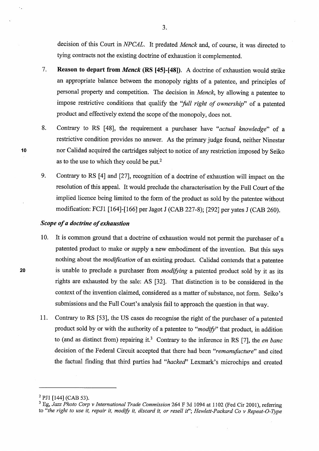decision of this Court in *NPCAL.* It predated *Menck* and, of course, it was directed to tying contracts not the existing doctrine of exhaustion it complemented.

- 7. **Reason to depart from** *Menck* **(RS [45]-[481).** A doctrine of exhaustion would strike an appropriate balance between the monopoly rights of a patentee, and principles of personal property and competition. The decision in *Menck,* by allowing a patentee to impose restrictive conditions that qualify the *''full right of ownership"* of a patented product and effectively extend the scope of the monopoly, does not.
- 8. Contrary to RS [48], the requirement a purchaser have *"actual knowledge"* of <sup>a</sup> restrictive condition provides no answer. As the primary judge found, neither Ninestar nor Calidad acquired the cartridges subject to notice of any restriction imposed by Seiko as to the use to which they could be put.<sup>2</sup>
- 9. Contrary to RS [4] and [27], recognition of a doctrine of exhaustion will impact on the resolution of this appeal. It would preclude the characterisation by the Full Court of the implied licence being limited to the form of the product as sold by the patentee without modification: FCJl [164]-[166] per Jagot **J** (CAB 227-8); [292] per yates J (CAB 260).

## *Scope of a doctrine of exhaustion*

- 10. It is common ground that a doctrine of exhaustion would not permit the purchaser of <sup>a</sup> patented product to make or supply a new embodiment of the invention. But this says nothing about the *modification* of an existing product. Calidad contends that a patentee is unable to preclude a purchaser from *modifying* a patented product sold by it as its rights are exhausted by the sale: AS [32]. That distinction is to be considered in the context of the invention claimed, considered as a matter of substance, not form. Seiko's submissions and the Full Court's analysis fail to approach the question in that way.
- 11. Contrary to RS [53], the US cases do recognise the right of the purchaser of a patented product sold by or with the authority of a patentee to *"modify"* that product, in addition to (and as distinct from) repairing it.<sup>3</sup> Contrary to the inference in RS [7], the *en banc* decision of the Federal Circuit accepted that there had been *"remanufacture"* and cited the factual finding that third parties had *"hacked'* Lexmark's microchips and created

 $\bar{z}$ 

 $\mathcal{L}_{\mathcal{A}}$ 

<sup>&</sup>lt;sup>2</sup> PJ1 [144] (CAB 53).

<sup>&</sup>lt;sup>3</sup> Eg, Jazz Photo Corp v International Trade Commission 264 F 3d 1094 at 1102 (Fed Cir 2001), referring to *"the right to use it, repair it, modify* it, *discard* it, *or resell if'; Hewlett-Packard Co v Repeat-O-Type*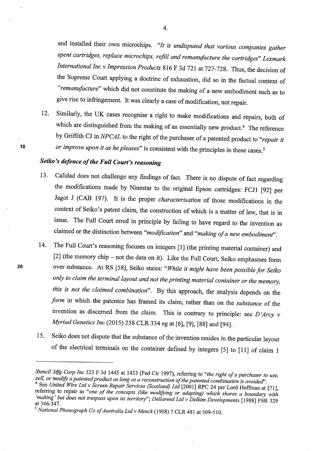and installed their own microchips. *"It is undisputed that various companies gather spent cartridges, replace microchips, refill and remanufacture the cartridges" Lexmark International Inc v Impression Products* 816 F 3d 721 at 727-728. Thus, the decision of the Supreme Court applying a doctrine of exhaustion, did so in the factual context of *"remanufacture"* which did not constitute the making of a new embodiment such as to <sup>g</sup>ive rise to infringement. It was clearly a case of modification, not repair.

12. Similarly, the UK cases recognise a right to make modifications and repairs, both of which are distinguished from the making of an essentially new product.<sup>4</sup> The reference by Griffith CJ in *NPCAL* to the right of the purchaser of a patented product to *"repair it or improve upon it as he pleases"* is consistent with the principles in these cases.<sup>5</sup>

# *Seiko's defence of the Full Court's reasoning*

- 13. Calidad does not challenge any findings of fact. There is no dispute of fact regarding the modifications made by Ninestar to the original Epson cartridges: FCJl [92] per Jagot J (CAB 197). It is the proper *characterisation* of those modifications in the context of Seiko's patent claim, the construction of which is a matter of law, that is in issue. The Full Court erred in principle by failing to have regard to the invention as claimed or the distinction between *"modification"* and *"making of a new embodiment'.*
- 14. The Full Court's reasoning focuses on integers [1] (the printing material container) and [2] (the memory chip - not the data on it). Like the Full Court, Seiko emphasises form over substance. At RS [58], Seiko states: *"While it might have been possible for Seiko only to claim the terminal layout and not the printing material container or the memory, this is not the claimed combination".* By this approach, the analysis depends on the *form* in which the patentee has framed its claim, rather than on the *substance* of the invention as discerned from the claim. This is contrary to principle: see  $D'Arcy$  v *Myriad Genetics Inc* (2015) 258 CLR 334 eg at [6], [9], [88] and [94].
- 15. Seiko does not dispute that the substance of the invention resides in the particular layout of the electrical terminals on the container defined by integers [5] to [11] of claim 1

*Stencil Mfg Corp Inc* <sup>123</sup>F 3d 1445 at 1453 (Fed Cir 1997), referring to *"the right of a purchaser to use, sell, or modify a patented product as long as a reconstruction of the patented combination is avoided'.* 

<sup>4</sup>  See *United Wire Ltd v Screen Repair Services (Scotland) Ltd* [2001] RPC 24 per Lord Hoffman at [71], referring to repair as "one of the concepts (like modifying or adapting) which shares a boundary with *'making' but does not trespass upon its territory"; Dellareed Ltd v Delkim Developments* [1988] FSR 329 at 346-347.

<sup>5</sup>*National Phonograph Co of Australia Ltd v Menck* (1908) 7 CLR 481 at 509-510.